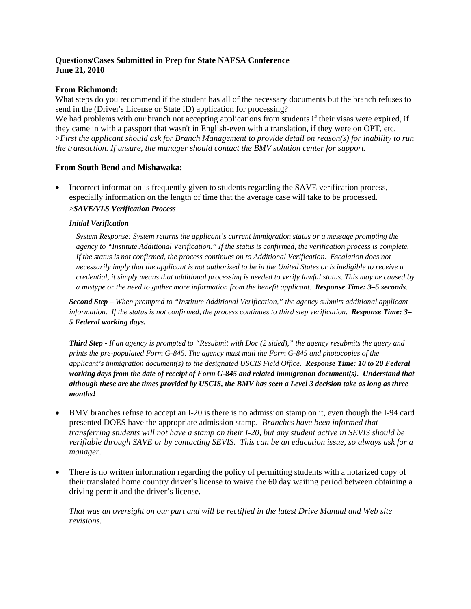## **Questions/Cases Submitted in Prep for State NAFSA Conference June 21, 2010**

## **From Richmond:**

What steps do you recommend if the student has all of the necessary documents but the branch refuses to send in the (Driver's License or State ID) application for processing?

We had problems with our branch not accepting applications from students if their visas were expired, if they came in with a passport that wasn't in English-even with a translation, if they were on OPT, etc. >*First the applicant should ask for Branch Management to provide detail on reason(s) for inability to run the transaction. If unsure, the manager should contact the BMV solution center for support.*

# **From South Bend and Mishawaka:**

• Incorrect information is frequently given to students regarding the SAVE verification process, especially information on the length of time that the average case will take to be processed. *>SAVE/VLS Verification Process* 

## *Initial Verification*

*System Response: System returns the applicant's current immigration status or a message prompting the agency to "Institute Additional Verification." If the status is confirmed, the verification process is complete. If the status is not confirmed, the process continues on to Additional Verification. Escalation does not necessarily imply that the applicant is not authorized to be in the United States or is ineligible to receive a credential, it simply means that additional processing is needed to verify lawful status. This may be caused by a mistype or the need to gather more information from the benefit applicant. Response Time: 3–5 seconds.* 

*Second Step – When prompted to "Institute Additional Verification," the agency submits additional applicant information. If the status is not confirmed, the process continues to third step verification. Response Time: 3– 5 Federal working days.* 

*Third Step - If an agency is prompted to "Resubmit with Doc (2 sided)," the agency resubmits the query and prints the pre-populated Form G-845. The agency must mail the Form G-845 and photocopies of the applicant's immigration document(s) to the designated USCIS Field Office. Response Time: 10 to 20 Federal working days from the date of receipt of Form G-845 and related immigration document(s). Understand that although these are the times provided by USCIS, the BMV has seen a Level 3 decision take as long as three months!* 

- BMV branches refuse to accept an I-20 is there is no admission stamp on it, even though the I-94 card presented DOES have the appropriate admission stamp. *Branches have been informed that transferring students will not have a stamp on their I-20, but any student active in SEVIS should be verifiable through SAVE or by contacting SEVIS. This can be an education issue, so always ask for a manager.*
- There is no written information regarding the policy of permitting students with a notarized copy of their translated home country driver's license to waive the 60 day waiting period between obtaining a driving permit and the driver's license.

*That was an oversight on our part and will be rectified in the latest Drive Manual and Web site revisions.*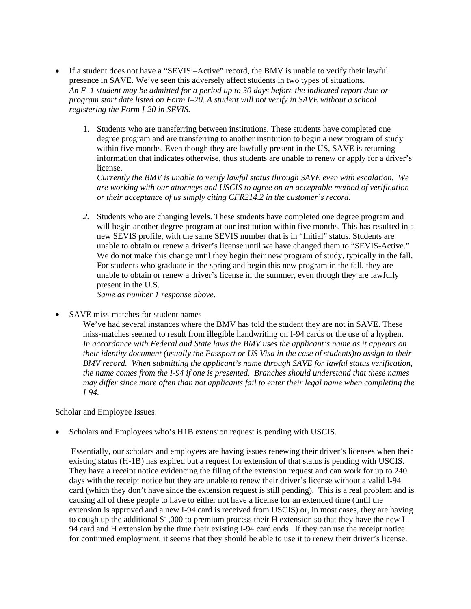- If a student does not have a "SEVIS-Active" record, the BMV is unable to verify their lawful presence in SAVE. We've seen this adversely affect students in two types of situations. *An F–1 student may be admitted for a period up to 30 days before the indicated report date or program start date listed on Form I–20. A student will not verify in SAVE without a school registering the Form I-20 in SEVIS.* 
	- 1. Students who are transferring between institutions. These students have completed one degree program and are transferring to another institution to begin a new program of study within five months. Even though they are lawfully present in the US, SAVE is returning information that indicates otherwise, thus students are unable to renew or apply for a driver's license.

*Currently the BMV is unable to verify lawful status through SAVE even with escalation. We are working with our attorneys and USCIS to agree on an acceptable method of verification or their acceptance of us simply citing CFR214.2 in the customer's record.* 

*2.* Students who are changing levels. These students have completed one degree program and will begin another degree program at our institution within five months. This has resulted in a new SEVIS profile, with the same SEVIS number that is in "Initial" status. Students are unable to obtain or renew a driver's license until we have changed them to "SEVIS-Active." We do not make this change until they begin their new program of study, typically in the fall. For students who graduate in the spring and begin this new program in the fall, they are unable to obtain or renew a driver's license in the summer, even though they are lawfully present in the U.S.

*Same as number 1 response above.* 

SAVE miss-matches for student names

We've had several instances where the BMV has told the student they are not in SAVE. These miss-matches seemed to result from illegible handwriting on I-94 cards or the use of a hyphen. *In accordance with Federal and State laws the BMV uses the applicant's name as it appears on their identity document (usually the Passport or US Visa in the case of students)to assign to their BMV record. When submitting the applicant's name through SAVE for lawful status verification, the name comes from the I-94 if one is presented. Branches should understand that these names may differ since more often than not applicants fail to enter their legal name when completing the I-94.* 

Scholar and Employee Issues:

• Scholars and Employees who's H1B extension request is pending with USCIS.

 Essentially, our scholars and employees are having issues renewing their driver's licenses when their existing status (H-1B) has expired but a request for extension of that status is pending with USCIS. They have a receipt notice evidencing the filing of the extension request and can work for up to 240 days with the receipt notice but they are unable to renew their driver's license without a valid I-94 card (which they don't have since the extension request is still pending). This is a real problem and is causing all of these people to have to either not have a license for an extended time (until the extension is approved and a new I-94 card is received from USCIS) or, in most cases, they are having to cough up the additional \$1,000 to premium process their H extension so that they have the new I-94 card and H extension by the time their existing I-94 card ends. If they can use the receipt notice for continued employment, it seems that they should be able to use it to renew their driver's license.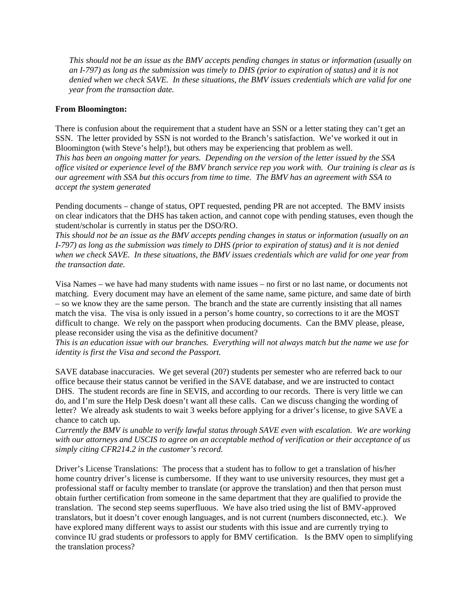*This should not be an issue as the BMV accepts pending changes in status or information (usually on an I-797) as long as the submission was timely to DHS (prior to expiration of status) and it is not denied when we check SAVE. In these situations, the BMV issues credentials which are valid for one year from the transaction date.* 

#### **From Bloomington:**

There is confusion about the requirement that a student have an SSN or a letter stating they can't get an SSN. The letter provided by SSN is not worded to the Branch's satisfaction. We've worked it out in Bloomington (with Steve's help!), but others may be experiencing that problem as well. *This has been an ongoing matter for years. Depending on the version of the letter issued by the SSA office visited or experience level of the BMV branch service rep you work with. Our training is clear as is our agreement with SSA but this occurs from time to time. The BMV has an agreement with SSA to accept the system generated* 

Pending documents – change of status, OPT requested, pending PR are not accepted. The BMV insists on clear indicators that the DHS has taken action, and cannot cope with pending statuses, even though the student/scholar is currently in status per the DSO/RO.

*This should not be an issue as the BMV accepts pending changes in status or information (usually on an I-797) as long as the submission was timely to DHS (prior to expiration of status) and it is not denied when we check SAVE. In these situations, the BMV issues credentials which are valid for one year from the transaction date.* 

Visa Names – we have had many students with name issues – no first or no last name, or documents not matching. Every document may have an element of the same name, same picture, and same date of birth – so we know they are the same person. The branch and the state are currently insisting that all names match the visa. The visa is only issued in a person's home country, so corrections to it are the MOST difficult to change. We rely on the passport when producing documents. Can the BMV please, please, please reconsider using the visa as the definitive document?

*This is an education issue with our branches. Everything will not always match but the name we use for identity is first the Visa and second the Passport.* 

SAVE database inaccuracies. We get several (20?) students per semester who are referred back to our office because their status cannot be verified in the SAVE database, and we are instructed to contact DHS. The student records are fine in SEVIS, and according to our records. There is very little we can do, and I'm sure the Help Desk doesn't want all these calls. Can we discuss changing the wording of letter? We already ask students to wait 3 weeks before applying for a driver's license, to give SAVE a chance to catch up.

*Currently the BMV is unable to verify lawful status through SAVE even with escalation. We are working with our attorneys and USCIS to agree on an acceptable method of verification or their acceptance of us simply citing CFR214.2 in the customer's record.* 

Driver's License Translations: The process that a student has to follow to get a translation of his/her home country driver's license is cumbersome. If they want to use university resources, they must get a professional staff or faculty member to translate (or approve the translation) and then that person must obtain further certification from someone in the same department that they are qualified to provide the translation. The second step seems superfluous. We have also tried using the list of BMV-approved translators, but it doesn't cover enough languages, and is not current (numbers disconnected, etc.). We have explored many different ways to assist our students with this issue and are currently trying to convince IU grad students or professors to apply for BMV certification. Is the BMV open to simplifying the translation process?